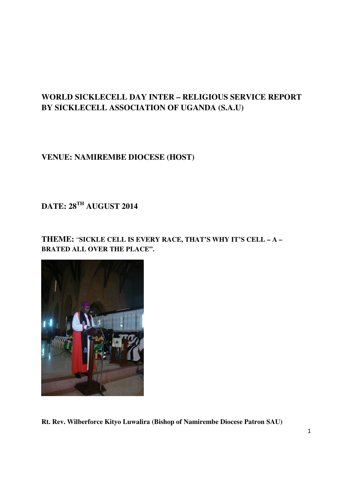# **WORLD SICKLECELL DAY INTER – RELIGIOUS SERVICE REPORT BY SICKLECELL ASSOCIATION OF UGANDA (S.A.U)**

# **VENUE: NAMIREMBE DIOCESE (HOST)**

# **DATE: 28TH AUGUST 2014**

# **THEME:** "**SICKLE CELL IS EVERY RACE, THAT'S WHY IT'S CELL – A – BRATED ALL OVER THE PLACE".**



**Rt. Rev. Wilberforce Kityo Luwalira (Bishop of Namirembe Diocese Patron SAU)**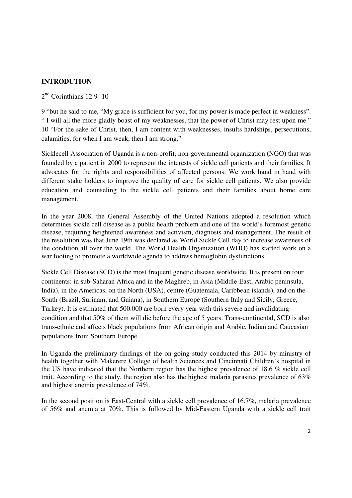#### **INTRODUTION**

2<sup>nd</sup> Corinthians 12:9 -10

9 "but he said to me, "My grace is sufficient for you, for my power is made perfect in weakness". " I will all the more gladly boast of my weaknesses, that the power of Christ may rest upon me." 10 "For the sake of Christ, then, I am content with weaknesses, insults hardships, persecutions, calamities, for when I am weak, then I am strong."

Sicklecell Association of Uganda is a non-profit, non-governmental organization (NGO) that was founded by a patient in 2000 to represent the interests of sickle cell patients and their families. It advocates for the rights and responsibilities of affected persons. We work hand in hand with different stake holders to improve the quality of care for sickle cell patients. We also provide education and counseling to the sickle cell patients and their families about home care management.

In the year 2008, the General Assembly of the United Nations adopted a resolution which determines sickle cell disease as a public health problem and one of the world's foremost genetic disease, requiring heightened awareness and activism, diagnosis and management. The result of the resolution was that June 19th was declared as World Sickle Cell day to increase awareness of the condition all over the world. The World Health Organization (WHO) has started work on a war footing to promote a worldwide agenda to address hemoglobin dysfunctions.

Sickle Cell Disease (SCD) is the most frequent genetic disease worldwide. It is present on four continents: in sub-Saharan Africa and in the Maghreb, in Asia (Middle-East, Arabic peninsula, India), in the Americas, on the North (USA), centre (Guatemala, Caribbean islands), and on the South (Brazil, Surinam, and Guiana), in Southern Europe (Southern Italy and Sicily, Greece, Turkey). It is estimated that 500.000 are born every year with this severe and invalidating condition and that 50% of them will die before the age of 5 years. Trans-continental, SCD is also trans-ethnic and affects black populations from African origin and Arabic, Indian and Caucasian populations from Southern Europe.

In Uganda the preliminary findings of the on-going study conducted this 2014 by ministry of health together with Makerere College of health Sciences and Cincinnati Children's hospital in the US have indicated that the Northern region has the highest prevalence of 18.6 % sickle cell trait. According to the study, the region also has the highest malaria parasites prevalence of 63% and highest anemia prevalence of 74%.

In the second position is East-Central with a sickle cell prevalence of 16.7%, malaria prevalence of 56% and anemia at 70%. This is followed by Mid-Eastern Uganda with a sickle cell trait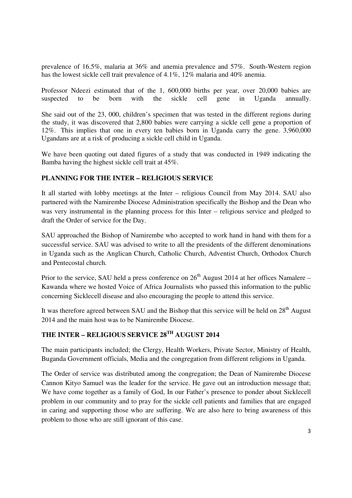prevalence of 16.5%, malaria at 36% and anemia prevalence and 57%. South-Western region has the lowest sickle cell trait prevalence of 4.1%, 12% malaria and 40% anemia.

Professor Ndeezi estimated that of the 1, 600,000 births per year, over 20,000 babies are suspected to be born with the sickle cell gene in Uganda annually.

She said out of the 23, 000, children's specimen that was tested in the different regions during the study, it was discovered that 2,800 babies were carrying a sickle cell gene a proportion of 12%. This implies that one in every ten babies born in Uganda carry the gene. 3,960,000 Ugandans are at a risk of producing a sickle cell child in Uganda.

We have been quoting out dated figures of a study that was conducted in 1949 indicating the Bamba having the highest sickle cell trait at 45%.

#### **PLANNING FOR THE INTER – RELIGIOUS SERVICE**

It all started with lobby meetings at the Inter – religious Council from May 2014. SAU also partnered with the Namirembe Diocese Administration specifically the Bishop and the Dean who was very instrumental in the planning process for this Inter – religious service and pledged to draft the Order of service for the Day.

SAU approached the Bishop of Namirembe who accepted to work hand in hand with them for a successful service. SAU was advised to write to all the presidents of the different denominations in Uganda such as the Anglican Church, Catholic Church, Adventist Church, Orthodox Church and Pentecostal church.

Prior to the service, SAU held a press conference on  $26<sup>th</sup>$  August 2014 at her offices Namalere – Kawanda where we hosted Voice of Africa Journalists who passed this information to the public concerning Sicklecell disease and also encouraging the people to attend this service.

It was therefore agreed between SAU and the Bishop that this service will be held on  $28<sup>th</sup>$  August 2014 and the main host was to be Namirembe Diocese.

# **THE INTER – RELIGIOUS SERVICE 28TH AUGUST 2014**

The main participants included; the Clergy, Health Workers, Private Sector, Ministry of Health, Buganda Government officials, Media and the congregation from different religions in Uganda.

The Order of service was distributed among the congregation; the Dean of Namirembe Diocese Cannon Kityo Samuel was the leader for the service. He gave out an introduction message that; We have come together as a family of God, In our Father's presence to ponder about Sicklecell problem in our community and to pray for the sickle cell patients and families that are engaged in caring and supporting those who are suffering. We are also here to bring awareness of this problem to those who are still ignorant of this case.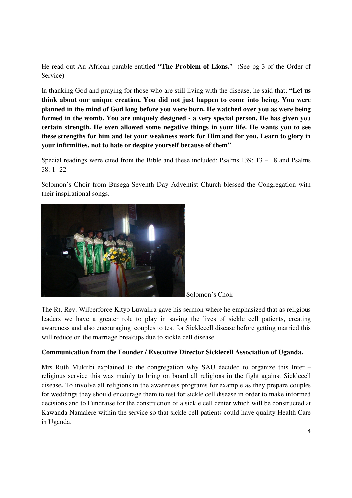He read out An African parable entitled **"The Problem of Lions.**" (See pg 3 of the Order of Service)

In thanking God and praying for those who are still living with the disease, he said that; **"Let us think about our unique creation. You did not just happen to come into being. You were planned in the mind of God long before you were born. He watched over you as were being formed in the womb. You are uniquely designed - a very special person. He has given you certain strength. He even allowed some negative things in your life. He wants you to see these strengths for him and let your weakness work for Him and for you. Learn to glory in your infirmities, not to hate or despite yourself because of them"**.

Special readings were cited from the Bible and these included; Psalms 139: 13 – 18 and Psalms 38: 1- 22

Solomon's Choir from Busega Seventh Day Adventist Church blessed the Congregation with their inspirational songs.



Solomon's Choir

The Rt. Rev. Wilberforce Kityo Luwalira gave his sermon where he emphasized that as religious leaders we have a greater role to play in saving the lives of sickle cell patients, creating awareness and also encouraging couples to test for Sicklecell disease before getting married this will reduce on the marriage breakups due to sickle cell disease.

#### **Communication from the Founder / Executive Director Sicklecell Association of Uganda.**

Mrs Ruth Mukiibi explained to the congregation why SAU decided to organize this Inter – religious service this was mainly to bring on board all religions in the fight against Sicklecell disease**.** To involve all religions in the awareness programs for example as they prepare couples for weddings they should encourage them to test for sickle cell disease in order to make informed decisions and to Fundraise for the construction of a sickle cell center which will be constructed at Kawanda Namalere within the service so that sickle cell patients could have quality Health Care in Uganda.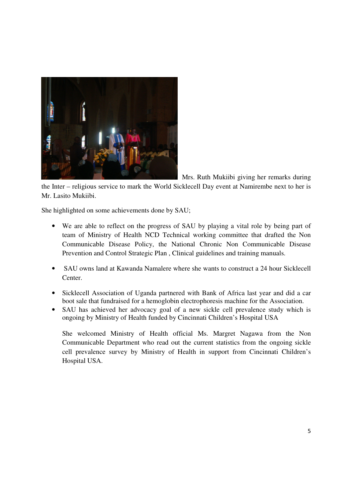

Mrs. Ruth Mukiibi giving her remarks during

the Inter – religious service to mark the World Sicklecell Day event at Namirembe next to her is Mr. Lasito Mukiibi.

She highlighted on some achievements done by SAU;

- We are able to reflect on the progress of SAU by playing a vital role by being part of team of Ministry of Health NCD Technical working committee that drafted the Non Communicable Disease Policy, the National Chronic Non Communicable Disease Prevention and Control Strategic Plan , Clinical guidelines and training manuals.
- SAU owns land at Kawanda Namalere where she wants to construct a 24 hour Sicklecell Center.
- Sicklecell Association of Uganda partnered with Bank of Africa last year and did a car boot sale that fundraised for a hemoglobin electrophoresis machine for the Association.
- SAU has achieved her advocacy goal of a new sickle cell prevalence study which is ongoing by Ministry of Health funded by Cincinnati Children's Hospital USA

She welcomed Ministry of Health official Ms. Margret Nagawa from the Non Communicable Department who read out the current statistics from the ongoing sickle cell prevalence survey by Ministry of Health in support from Cincinnati Children's Hospital USA.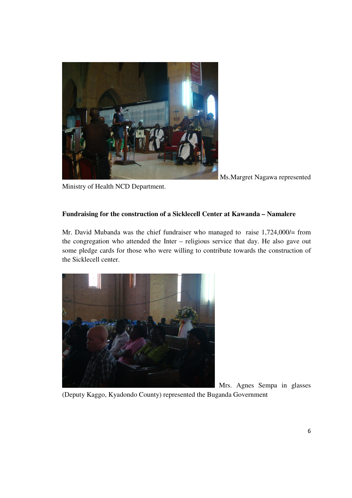

Ms.Margret Nagawa represented

Ministry of Health NCD Department.

### **Fundraising for the construction of a Sicklecell Center at Kawanda – Namalere**

Mr. David Mubanda was the chief fundraiser who managed to raise 1,724,000/= from the congregation who attended the Inter – religious service that day. He also gave out some pledge cards for those who were willing to contribute towards the construction of the Sicklecell center.



Mrs. Agnes Sempa in glasses

(Deputy Kaggo, Kyadondo County) represented the Buganda Government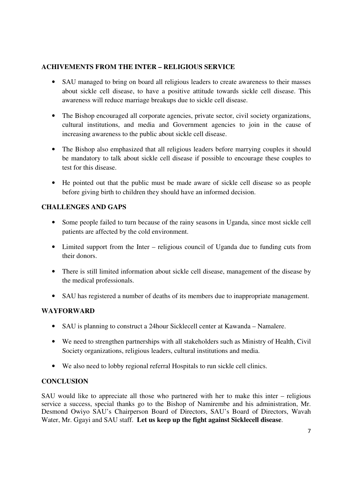### **ACHIVEMENTS FROM THE INTER – RELIGIOUS SERVICE**

- SAU managed to bring on board all religious leaders to create awareness to their masses about sickle cell disease, to have a positive attitude towards sickle cell disease. This awareness will reduce marriage breakups due to sickle cell disease.
- The Bishop encouraged all corporate agencies, private sector, civil society organizations, cultural institutions, and media and Government agencies to join in the cause of increasing awareness to the public about sickle cell disease.
- The Bishop also emphasized that all religious leaders before marrying couples it should be mandatory to talk about sickle cell disease if possible to encourage these couples to test for this disease.
- He pointed out that the public must be made aware of sickle cell disease so as people before giving birth to children they should have an informed decision.

### **CHALLENGES AND GAPS**

- Some people failed to turn because of the rainy seasons in Uganda, since most sickle cell patients are affected by the cold environment.
- Limited support from the Inter religious council of Uganda due to funding cuts from their donors.
- There is still limited information about sickle cell disease, management of the disease by the medical professionals.
- SAU has registered a number of deaths of its members due to inappropriate management.

### **WAYFORWARD**

- SAU is planning to construct a 24hour Sicklecell center at Kawanda Namalere.
- We need to strengthen partnerships with all stakeholders such as Ministry of Health, Civil Society organizations, religious leaders, cultural institutions and media.
- We also need to lobby regional referral Hospitals to run sickle cell clinics.

### **CONCLUSION**

SAU would like to appreciate all those who partnered with her to make this inter – religious service a success, special thanks go to the Bishop of Namirembe and his administration, Mr. Desmond Owiyo SAU's Chairperson Board of Directors, SAU's Board of Directors, Wavah Water, Mr. Ggayi and SAU staff. **Let us keep up the fight against Sicklecell disease**.